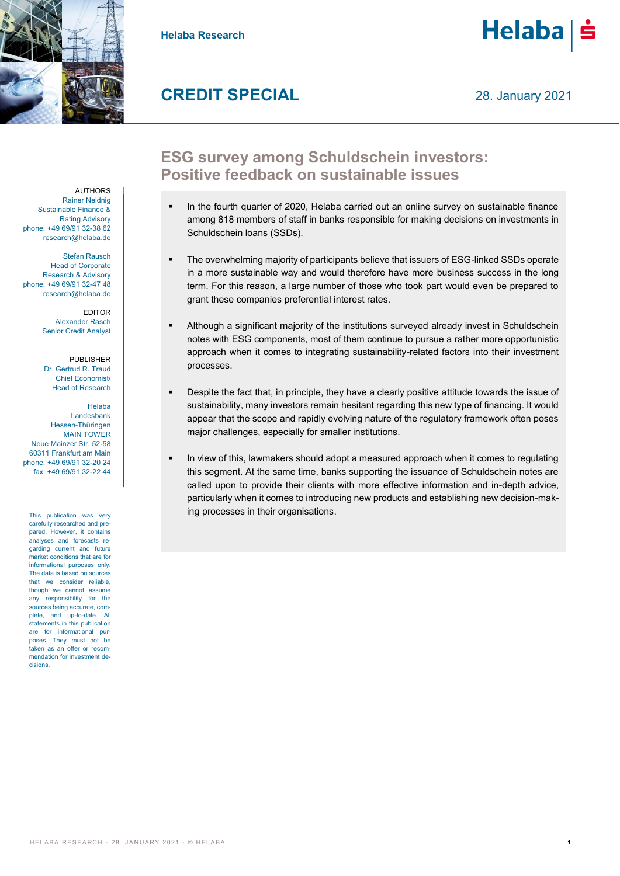

**Helaba Research**



# **CREDIT SPECIAL**

## **ESG survey among Schuldschein investors: Positive feedback on sustainable issues**

- In the fourth quarter of 2020, Helaba carried out an online survey on sustainable finance among 818 members of staff in banks responsible for making decisions on investments in Schuldschein loans (SSDs).
- The overwhelming majority of participants believe that issuers of ESG-linked SSDs operate in a more sustainable way and would therefore have more business success in the long term. For this reason, a large number of those who took part would even be prepared to grant these companies preferential interest rates.
- Although a significant majority of the institutions surveyed already invest in Schuldschein notes with ESG components, most of them continue to pursue a rather more opportunistic approach when it comes to integrating sustainability-related factors into their investment processes.
- Despite the fact that, in principle, they have a clearly positive attitude towards the issue of sustainability, many investors remain hesitant regarding this new type of financing. It would appear that the scope and rapidly evolving nature of the regulatory framework often poses major challenges, especially for smaller institutions.
- In view of this, lawmakers should adopt a measured approach when it comes to regulating this segment. At the same time, banks supporting the issuance of Schuldschein notes are called upon to provide their clients with more effective information and in-depth advice, particularly when it comes to introducing new products and establishing new decision-making processes in their organisations.

**AUTHORS** Rainer Neidnig Sustainable Finance & Rating Advisory phone: +49 69/91 32-38 62 [research@helaba.de](mailto:research@helaba.de)

Stefan Rausch Head of Corporate Research & Advisory phone: +49 69/91 32-47 48 [research@helaba.de](mailto:research@helaba.de)

> EDITOR Alexander Rasch Senior Credit Analyst

PUBLISHER Dr. Gertrud R. Traud Chief Economist/ Head of Research

Helaba Landesbank Hessen-Thüringen MAIN TOWER Neue Mainzer Str. 52-58 60311 Frankfurt am Main phone: +49 69/91 32-20 24 fax: +49 69/91 32-22 44

This publication was very carefully researched and prepared. However, it contains analyses and forecasts regarding current and future market conditions that are for informational purposes only. The data is based on sources that we consider reliable, though we cannot assume any responsibility for the sources being accurate, complete, and up-to-date. All statements in this publication are for informational purposes. They must not be .<br>taken as an offer or recommendation for investment decisions.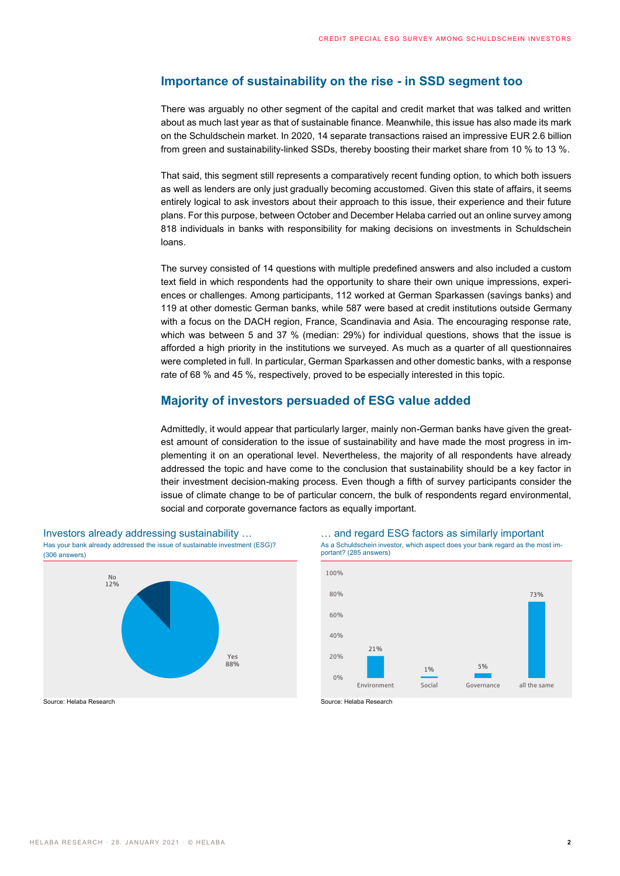### **Importance of sustainability on the rise - in SSD segment too**

There was arguably no other segment of the capital and credit market that was talked and written about as much last year as that of sustainable finance. Meanwhile, this issue has also made its mark on the Schuldschein market. In 2020, 14 separate transactions raised an impressive EUR 2.6 billion from green and sustainability-linked SSDs, thereby boosting their market share from 10 % to 13 %.

That said, this segment still represents a comparatively recent funding option, to which both issuers as well as lenders are only just gradually becoming accustomed. Given this state of affairs, it seems entirely logical to ask investors about their approach to this issue, their experience and their future plans. For this purpose, between October and December Helaba carried out an online survey among 818 individuals in banks with responsibility for making decisions on investments in Schuldschein loans.

The survey consisted of 14 questions with multiple predefined answers and also included a custom text field in which respondents had the opportunity to share their own unique impressions, experiences or challenges. Among participants, 112 worked at German Sparkassen (savings banks) and 119 at other domestic German banks, while 587 were based at credit institutions outside Germany with a focus on the DACH region, France, Scandinavia and Asia. The encouraging response rate, which was between 5 and 37 % (median: 29%) for individual questions, shows that the issue is afforded a high priority in the institutions we surveyed. As much as a quarter of all questionnaires were completed in full. In particular, German Sparkassen and other domestic banks, with a response rate of 68 % and 45 %, respectively, proved to be especially interested in this topic.

### **Majority of investors persuaded of ESG value added**

Admittedly, it would appear that particularly larger, mainly non-German banks have given the greatest amount of consideration to the issue of sustainability and have made the most progress in implementing it on an operational level. Nevertheless, the majority of all respondents have already addressed the topic and have come to the conclusion that sustainability should be a key factor in their investment decision-making process. Even though a fifth of survey participants consider the issue of climate change to be of particular concern, the bulk of respondents regard environmental, social and corporate governance factors as equally important.







Source: Helaba Research Source: Helaba Research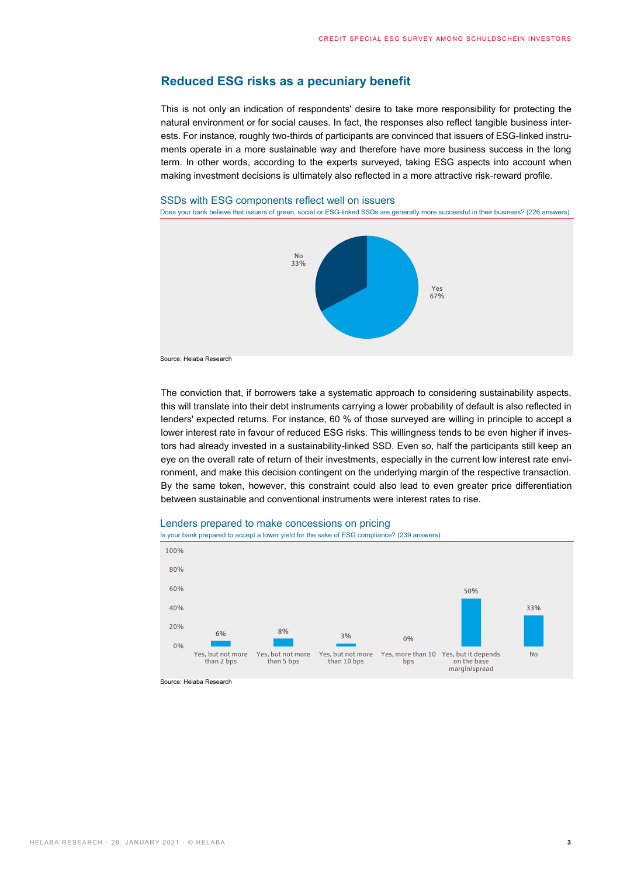### **Reduced ESG risks as a pecuniary benefit**

This is not only an indication of respondents' desire to take more responsibility for protecting the natural environment or for social causes. In fact, the responses also reflect tangible business interests. For instance, roughly two-thirds of participants are convinced that issuers of ESG-linked instruments operate in a more sustainable way and therefore have more business success in the long term. In other words, according to the experts surveyed, taking ESG aspects into account when making investment decisions is ultimately also reflected in a more attractive risk-reward profile.

### SSDs with ESG components reflect well on issuers

Does your bank believe that issuers of green, social or ESG-linked SSDs are generally more successful in their business? (226 answers)



Source: Helaba Research

The conviction that, if borrowers take a systematic approach to considering sustainability aspects, this will translate into their debt instruments carrying a lower probability of default is also reflected in lenders' expected returns. For instance, 60 % of those surveyed are willing in principle to accept a lower interest rate in favour of reduced ESG risks. This willingness tends to be even higher if investors had already invested in a sustainability-linked SSD. Even so, half the participants still keep an eye on the overall rate of return of their investments, especially in the current low interest rate environment, and make this decision contingent on the underlying margin of the respective transaction. By the same token, however, this constraint could also lead to even greater price differentiation between sustainable and conventional instruments were interest rates to rise.



Lenders prepared to make concessions on pricing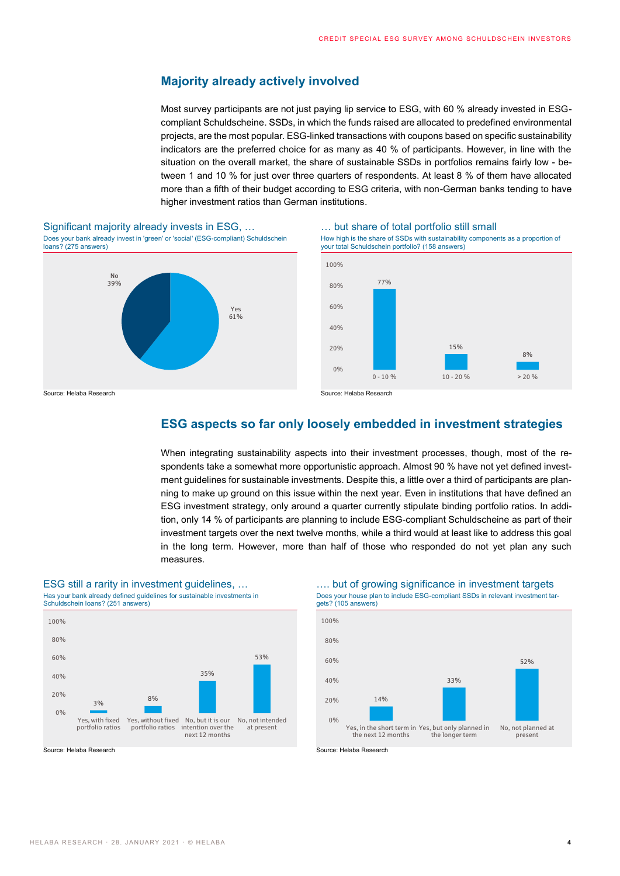### **Majority already actively involved**

Most survey participants are not just paying lip service to ESG, with 60 % already invested in ESGcompliant Schuldscheine. SSDs, in which the funds raised are allocated to predefined environmental projects, are the most popular. ESG-linked transactions with coupons based on specific sustainability indicators are the preferred choice for as many as 40 % of participants. However, in line with the situation on the overall market, the share of sustainable SSDs in portfolios remains fairly low - between 1 and 10 % for just over three quarters of respondents. At least 8 % of them have allocated more than a fifth of their budget according to ESG criteria, with non-German banks tending to have higher investment ratios than German institutions.



How high is the share of SSDs with sustainability components as a proportion of your total Schuldschein portfolio? (158 answers)



### **ESG aspects so far only loosely embedded in investment strategies**

When integrating sustainability aspects into their investment processes, though, most of the respondents take a somewhat more opportunistic approach. Almost 90 % have not yet defined investment guidelines for sustainable investments. Despite this, a little over a third of participants are planning to make up ground on this issue within the next year. Even in institutions that have defined an ESG investment strategy, only around a quarter currently stipulate binding portfolio ratios. In addition, only 14 % of participants are planning to include ESG-compliant Schuldscheine as part of their investment targets over the next twelve months, while a third would at least like to address this goal in the long term. However, more than half of those who responded do not yet plan any such measures.





Does your house plan to include ESG-compliant SSDs in relevant investment targets? (105 answers)

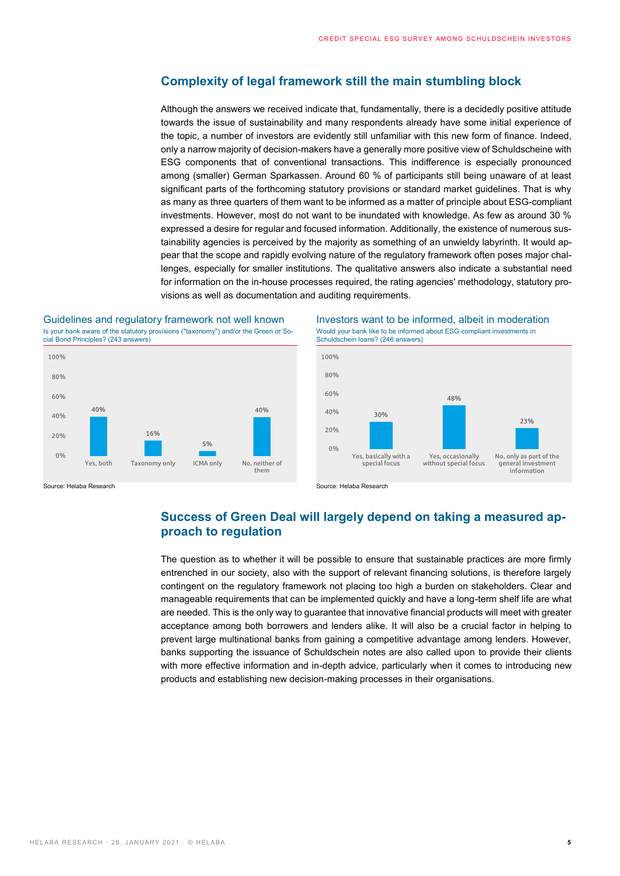### **Complexity of legal framework still the main stumbling block**

Although the answers we received indicate that, fundamentally, there is a decidedly positive attitude towards the issue of sustainability and many respondents already have some initial experience of the topic, a number of investors are evidently still unfamiliar with this new form of finance. Indeed, only a narrow majority of decision-makers have a generally more positive view of Schuldscheine with ESG components that of conventional transactions. This indifference is especially pronounced among (smaller) German Sparkassen. Around 60 % of participants still being unaware of at least significant parts of the forthcoming statutory provisions or standard market guidelines. That is why as many as three quarters of them want to be informed as a matter of principle about ESG-compliant investments. However, most do not want to be inundated with knowledge. As few as around 30 % expressed a desire for regular and focused information. Additionally, the existence of numerous sustainability agencies is perceived by the majority as something of an unwieldy labyrinth. It would appear that the scope and rapidly evolving nature of the regulatory framework often poses major challenges, especially for smaller institutions. The qualitative answers also indicate a substantial need for information on the in-house processes required, the rating agencies' methodology, statutory provisions as well as documentation and auditing requirements.

### Is your bank aware of the statutory provisions ("taxonomy") and/or the Green or Social Bond Principles? (243 answers)



Guidelines and regulatory framework not well known Investors want to be informed, albeit in moderation Would your bank like to be informed about ESG-compliant investments in Schuldschein loans? (246 answers)



## **Success of Green Deal will largely depend on taking a measured approach to regulation**

The question as to whether it will be possible to ensure that sustainable practices are more firmly entrenched in our society, also with the support of relevant financing solutions, is therefore largely contingent on the regulatory framework not placing too high a burden on stakeholders. Clear and manageable requirements that can be implemented quickly and have a long-term shelf life are what are needed. This is the only way to guarantee that innovative financial products will meet with greater acceptance among both borrowers and lenders alike. It will also be a crucial factor in helping to prevent large multinational banks from gaining a competitive advantage among lenders. However, banks supporting the issuance of Schuldschein notes are also called upon to provide their clients with more effective information and in-depth advice, particularly when it comes to introducing new products and establishing new decision-making processes in their organisations.